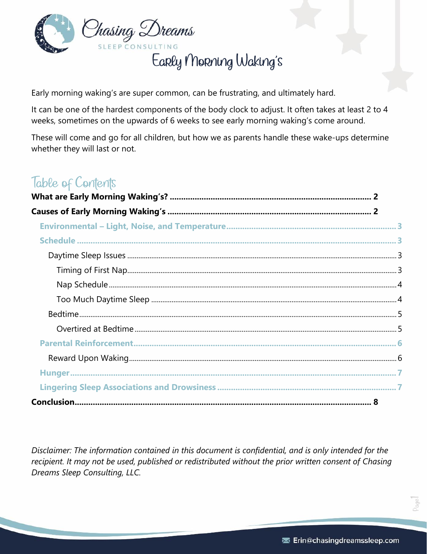

Early Morning Waking's

Early morning waking's are super common, can be frustrating, and ultimately hard.

It can be one of the hardest components of the body clock to adjust. It often takes at least 2 to 4 weeks, sometimes on the upwards of 6 weeks to see early morning waking's come around.

These will come and go for all children, but how we as parents handle these wake-ups determine whether they will last or not.

## Table of Contents

Disclaimer: The information contained in this document is confidential, and is only intended for the recipient. It may not be used, published or redistributed without the prior written consent of Chasing Dreams Sleep Consulting, LLC.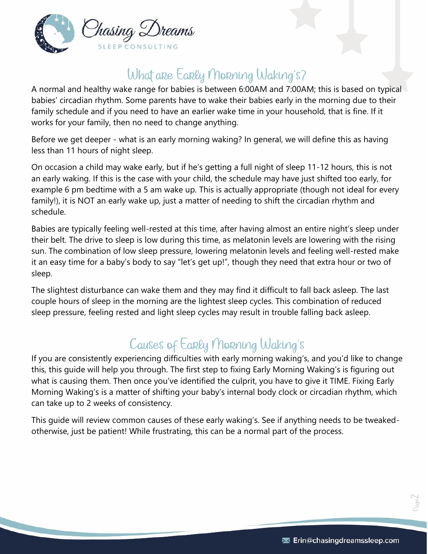

# What are Early Morning Waking's?

<span id="page-1-0"></span>A normal and healthy wake range for babies is between 6:00AM and 7:00AM; this is based on typical babies' circadian rhythm. Some parents have to wake their babies early in the morning due to their family schedule and if you need to have an earlier wake time in your household, that is fine. If it works for your family, then no need to change anything.

Before we get deeper - what is an early morning waking? In general, we will define this as having less than 11 hours of night sleep.

On occasion a child may wake early, but if he's getting a full night of sleep 11-12 hours, this is not an early waking. If this is the case with your child, the schedule may have just shifted too early, for example 6 pm bedtime with a 5 am wake up. This is actually appropriate (though not ideal for every family!), it is NOT an early wake up, just a matter of needing to shift the circadian rhythm and schedule.

Babies are typically feeling well-rested at this time, after having almost an entire night's sleep under their belt. The drive to sleep is low during this time, as melatonin levels are lowering with the rising sun. The combination of low sleep pressure, lowering melatonin levels and feeling well-rested make it an easy time for a baby's body to say "let's get up!", though they need that extra hour or two of sleep.

The slightest disturbance can wake them and they may find it difficult to fall back asleep. The last couple hours of sleep in the morning are the lightest sleep cycles. This combination of reduced sleep pressure, feeling rested and light sleep cycles may result in trouble falling back asleep.

# Causes of Early Morning Waking's

<span id="page-1-1"></span>If you are consistently experiencing difficulties with early morning waking's, and you'd like to change this, this guide will help you through. The first step to fixing Early Morning Waking's is figuring out what is causing them. Then once you've identified the culprit, you have to give it TIME. Fixing Early Morning Waking's is a matter of shifting your baby's internal body clock or circadian rhythm, which can take up to 2 weeks of consistency.

This guide will review common causes of these early waking's. See if anything needs to be tweakedotherwise, just be patient! While frustrating, this can be a normal part of the process.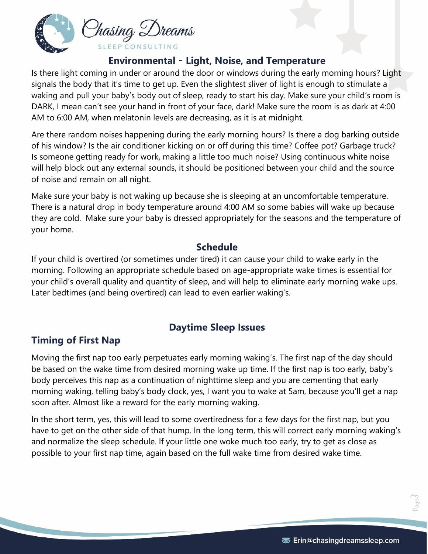

#### **Environmental** – **Light, Noise, and Temperature**

<span id="page-2-0"></span>Is there light coming in under or around the door or windows during the early morning hours? Light signals the body that it's time to get up. Even the slightest sliver of light is enough to stimulate a waking and pull your baby's body out of sleep, ready to start his day. Make sure your child's room is DARK, I mean can't see your hand in front of your face, dark! Make sure the room is as dark at 4:00 AM to 6:00 AM, when melatonin levels are decreasing, as it is at midnight.

Are there random noises happening during the early morning hours? Is there a dog barking outside of his window? Is the air conditioner kicking on or off during this time? Coffee pot? Garbage truck? Is someone getting ready for work, making a little too much noise? Using continuous white noise will help block out any external sounds, it should be positioned between your child and the source of noise and remain on all night.

Make sure your baby is not waking up because she is sleeping at an uncomfortable temperature. There is a natural drop in body temperature around 4:00 AM so some babies will wake up because they are cold. Make sure your baby is dressed appropriately for the seasons and the temperature of your home.

#### **Schedule**

<span id="page-2-1"></span>If your child is overtired (or sometimes under tired) it can cause your child to wake early in the morning. Following an appropriate schedule based on age-appropriate wake times is essential for your child's overall quality and quantity of sleep, and will help to eliminate early morning wake ups. Later bedtimes (and being overtired) can lead to even earlier waking's.

#### **Daytime Sleep Issues**

#### <span id="page-2-3"></span><span id="page-2-2"></span>**Timing of First Nap**

Moving the first nap too early perpetuates early morning waking's. The first nap of the day should be based on the wake time from desired morning wake up time. If the first nap is too early, baby's body perceives this nap as a continuation of nighttime sleep and you are cementing that early morning waking, telling baby's body clock, yes, I want you to wake at 5am, because you'll get a nap soon after. Almost like a reward for the early morning waking.

<span id="page-2-4"></span>In the short term, yes, this will lead to some overtiredness for a few days for the first nap, but you have to get on the other side of that hump. In the long term, this will correct early morning waking's and normalize the sleep schedule. If your little one woke much too early, try to get as close as possible to your first nap time, again based on the full wake time from desired wake time.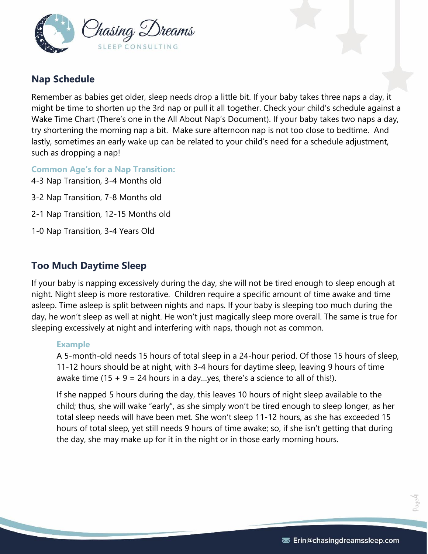

## **Nap Schedule**

Remember as babies get older, sleep needs drop a little bit. If your baby takes three naps a day, it might be time to shorten up the 3rd nap or pull it all together. Check your child's schedule against a Wake Time Chart (There's one in the All About Nap's Document). If your baby takes two naps a day, try shortening the morning nap a bit. Make sure afternoon nap is not too close to bedtime. And lastly, sometimes an early wake up can be related to your child's need for a schedule adjustment, such as dropping a nap!

**Common Age's for a Nap Transition:** 4-3 Nap Transition, 3-4 Months old

3-2 Nap Transition, 7-8 Months old

- 2-1 Nap Transition, 12-15 Months old
- 1-0 Nap Transition, 3-4 Years Old

#### <span id="page-3-0"></span>**Too Much Daytime Sleep**

If your baby is napping excessively during the day, she will not be tired enough to sleep enough at night. Night sleep is more restorative. Children require a specific amount of time awake and time asleep. Time asleep is split between nights and naps. If your baby is sleeping too much during the day, he won't sleep as well at night. He won't just magically sleep more overall. The same is true for sleeping excessively at night and interfering with naps, though not as common.

#### **Example**

A 5-month-old needs 15 hours of total sleep in a 24-hour period. Of those 15 hours of sleep, 11-12 hours should be at night, with 3-4 hours for daytime sleep, leaving 9 hours of time awake time  $(15 + 9 = 24$  hours in a day...yes, there's a science to all of this!).

<span id="page-3-1"></span>If she napped 5 hours during the day, this leaves 10 hours of night sleep available to the child; thus, she will wake "early", as she simply won't be tired enough to sleep longer, as her total sleep needs will have been met. She won't sleep 11-12 hours, as she has exceeded 15 hours of total sleep, yet still needs 9 hours of time awake; so, if she isn't getting that during the day, she may make up for it in the night or in those early morning hours.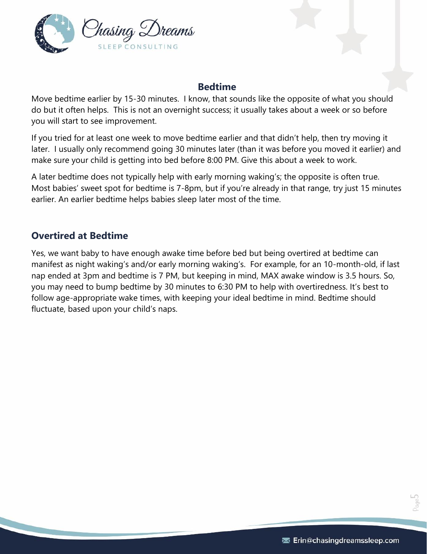

#### **Bedtime**

Move bedtime earlier by 15-30 minutes. I know, that sounds like the opposite of what you should do but it often helps. This is not an overnight success; it usually takes about a week or so before you will start to see improvement.

If you tried for at least one week to move bedtime earlier and that didn't help, then try moving it later. I usually only recommend going 30 minutes later (than it was before you moved it earlier) and make sure your child is getting into bed before 8:00 PM. Give this about a week to work.

A later bedtime does not typically help with early morning waking's; the opposite is often true. Most babies' sweet spot for bedtime is 7-8pm, but if you're already in that range, try just 15 minutes earlier. An earlier bedtime helps babies sleep later most of the time.

#### <span id="page-4-0"></span>**Overtired at Bedtime**

Yes, we want baby to have enough awake time before bed but being overtired at bedtime can manifest as night waking's and/or early morning waking's. For example, for an 10-month-old, if last nap ended at 3pm and bedtime is 7 PM, but keeping in mind, MAX awake window is 3.5 hours. So, you may need to bump bedtime by 30 minutes to 6:30 PM to help with overtiredness. It's best to follow age-appropriate wake times, with keeping your ideal bedtime in mind. Bedtime should fluctuate, based upon your child's naps.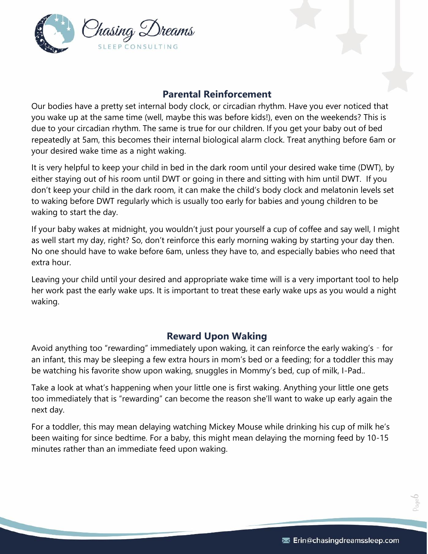

#### **Parental Reinforcement**

<span id="page-5-0"></span>Our bodies have a pretty set internal body clock, or circadian rhythm. Have you ever noticed that you wake up at the same time (well, maybe this was before kids!), even on the weekends? This is due to your circadian rhythm. The same is true for our children. If you get your baby out of bed repeatedly at 5am, this becomes their internal biological alarm clock. Treat anything before 6am or your desired wake time as a night waking.

It is very helpful to keep your child in bed in the dark room until your desired wake time (DWT), by either staying out of his room until DWT or going in there and sitting with him until DWT. If you don't keep your child in the dark room, it can make the child's body clock and melatonin levels set to waking before DWT regularly which is usually too early for babies and young children to be waking to start the day.

If your baby wakes at midnight, you wouldn't just pour yourself a cup of coffee and say well, I might as well start my day, right? So, don't reinforce this early morning waking by starting your day then. No one should have to wake before 6am, unless they have to, and especially babies who need that extra hour.

Leaving your child until your desired and appropriate wake time will is a very important tool to help her work past the early wake ups. It is important to treat these early wake ups as you would a night waking.

## **Reward Upon Waking**

<span id="page-5-1"></span>Avoid anything too "rewarding" immediately upon waking, it can reinforce the early waking's – for an infant, this may be sleeping a few extra hours in mom's bed or a feeding; for a toddler this may be watching his favorite show upon waking, snuggles in Mommy's bed, cup of milk, I-Pad..

Take a look at what's happening when your little one is first waking. Anything your little one gets too immediately that is "rewarding" can become the reason she'll want to wake up early again the next day.

For a toddler, this may mean delaying watching Mickey Mouse while drinking his cup of milk he's been waiting for since bedtime. For a baby, this might mean delaying the morning feed by 10-15 minutes rather than an immediate feed upon waking.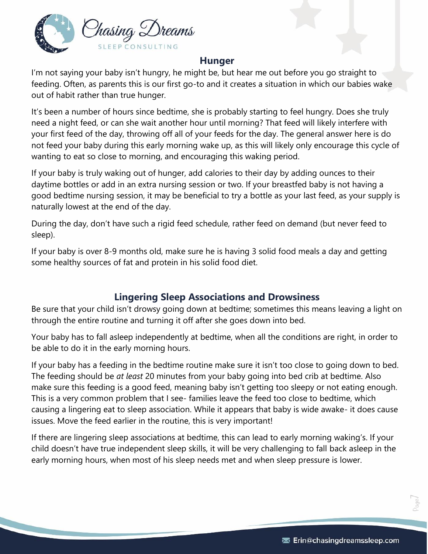

#### **Hunger**

<span id="page-6-0"></span>I'm not saying your baby isn't hungry, he might be, but hear me out before you go straight to feeding. Often, as parents this is our first go-to and it creates a situation in which our babies wake out of habit rather than true hunger.

It's been a number of hours since bedtime, she is probably starting to feel hungry. Does she truly need a night feed, or can she wait another hour until morning? That feed will likely interfere with your first feed of the day, throwing off all of your feeds for the day. The general answer here is do not feed your baby during this early morning wake up, as this will likely only encourage this cycle of wanting to eat so close to morning, and encouraging this waking period.

If your baby is truly waking out of hunger, add calories to their day by adding ounces to their daytime bottles or add in an extra nursing session or two. If your breastfed baby is not having a good bedtime nursing session, it may be beneficial to try a bottle as your last feed, as your supply is naturally lowest at the end of the day.

During the day, don't have such a rigid feed schedule, rather feed on demand (but never feed to sleep).

If your baby is over 8-9 months old, make sure he is having 3 solid food meals a day and getting some healthy sources of fat and protein in his solid food diet.

## **Lingering Sleep Associations and Drowsiness**

<span id="page-6-1"></span>Be sure that your child isn't drowsy going down at bedtime; sometimes this means leaving a light on through the entire routine and turning it off after she goes down into bed.

Your baby has to fall asleep independently at bedtime, when all the conditions are right, in order to be able to do it in the early morning hours.

If your baby has a feeding in the bedtime routine make sure it isn't too close to going down to bed. The feeding should be *at least* 20 minutes from your baby going into bed crib at bedtime. Also make sure this feeding is a good feed, meaning baby isn't getting too sleepy or not eating enough. This is a very common problem that I see- families leave the feed too close to bedtime, which causing a lingering eat to sleep association. While it appears that baby is wide awake- it does cause issues. Move the feed earlier in the routine, this is very important!

If there are lingering sleep associations at bedtime, this can lead to early morning waking's. If your child doesn't have true independent sleep skills, it will be very challenging to fall back asleep in the early morning hours, when most of his sleep needs met and when sleep pressure is lower.